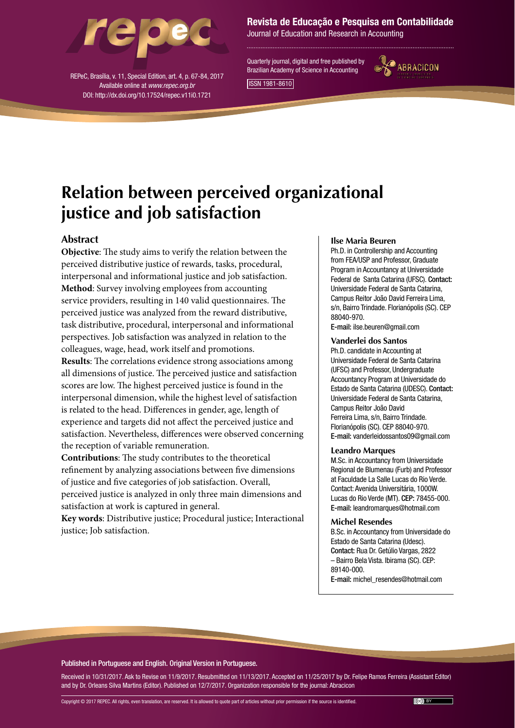

REPeC, Brasília, v. 11, Special Edition, art. 4, p. 67-84, 2017 Available online at *www.repec.org.br* DOI: http://dx.doi.org/10.17524/repec.v11i0.1721

## Revista de Educação e Pesquisa em Contabilidade

Journal of Education and Research in Accounting

Quarterly journal, digital and free published by Brazilian Academy of Science in Accounting ISSN 1981-8610



**Relation between perceived organizational justice and job satisfaction**

# **Abstract**

**Objective**: The study aims to verify the relation between the perceived distributive justice of rewards, tasks, procedural, interpersonal and informational justice and job satisfaction. **Method**: Survey involving employees from accounting service providers, resulting in 140 valid questionnaires. The perceived justice was analyzed from the reward distributive, task distributive, procedural, interpersonal and informational perspectives. Job satisfaction was analyzed in relation to the colleagues, wage, head, work itself and promotions. **Results**: The correlations evidence strong associations among all dimensions of justice. The perceived justice and satisfaction scores are low. The highest perceived justice is found in the interpersonal dimension, while the highest level of satisfaction is related to the head. Differences in gender, age, length of

experience and targets did not affect the perceived justice and satisfaction. Nevertheless, differences were observed concerning the reception of variable remuneration.

**Contributions**: The study contributes to the theoretical refinement by analyzing associations between five dimensions of justice and five categories of job satisfaction. Overall, perceived justice is analyzed in only three main dimensions and satisfaction at work is captured in general.

**Key words**: Distributive justice; Procedural justice; Interactional justice; Job satisfaction.

#### **Ilse Maria Beuren**

Ph.D. in Controllership and Accounting from FEA/USP and Professor, Graduate Program in Accountancy at Universidade Federal de Santa Catarina (UFSC). Contact: Universidade Federal de Santa Catarina, Campus Reitor João David Ferreira Lima, s/n, Bairro Trindade. Florianópolis (SC). CEP 88040-970. E-mail: ilse.beuren@gmail.com

#### **Vanderlei dos Santos**

Ph.D. candidate in Accounting at Universidade Federal de Santa Catarina (UFSC) and Professor, Undergraduate Accountancy Program at Universidade do Estado de Santa Catarina (UDESC). Contact: Universidade Federal de Santa Catarina, Campus Reitor João David Ferreira Lima, s/n, Bairro Trindade. Florianópolis (SC). CEP 88040-970. E-mail: vanderleidossantos09@gmail.com

#### **Leandro Marques**

M.Sc. in Accountancy from Universidade Regional de Blumenau (Furb) and Professor at Faculdade La Salle Lucas do Rio Verde. Contact: Avenida Universitária, 1000W. Lucas do Rio Verde (MT). CEP: 78455-000. E-mail: leandromarques@hotmail.com

#### **Michel Resendes**

B.Sc. in Accountancy from Universidade do Estado de Santa Catarina (Udesc). Contact: Rua Dr. Getúlio Vargas, 2822 – Bairro Bela Vista. Ibirama (SC). CEP: 89140-000.

E-mail: michel\_resendes@hotmail.com

Published in Portuguese and English. Original Version in Portuguese.

Received in 10/31/2017. Ask to Revise on 11/9/2017. Resubmitted on 11/13/2017. Accepted on 11/25/2017 by Dr. Felipe Ramos Ferreira (Assistant Editor) and by Dr. Orleans Silva Martins (Editor). Published on 12/7/2017. Organization responsible for the journal: Abracicon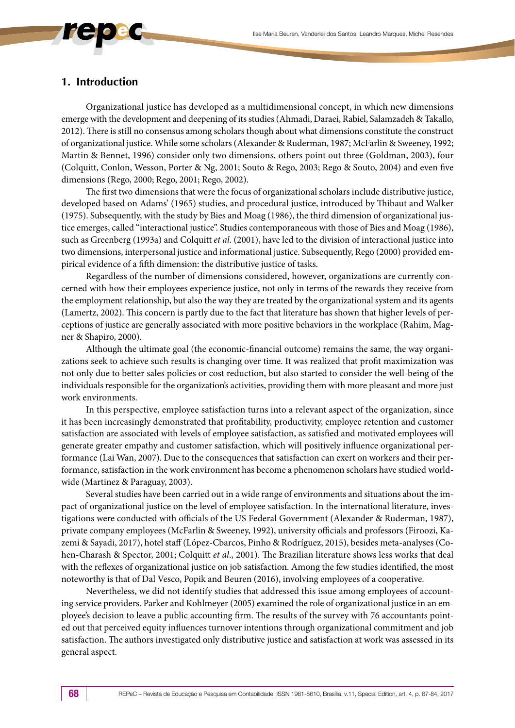# **1. Introduction**

Organizational justice has developed as a multidimensional concept, in which new dimensions emerge with the development and deepening of its studies (Ahmadi, Daraei, Rabiel, Salamzadeh & Takallo, 2012). There is still no consensus among scholars though about what dimensions constitute the construct of organizational justice. While some scholars (Alexander & Ruderman, 1987; McFarlin & Sweeney, 1992; Martin & Bennet, 1996) consider only two dimensions, others point out three (Goldman, 2003), four (Colquitt, Conlon, Wesson, Porter & Ng, 2001; Souto & Rego, 2003; Rego & Souto, 2004) and even five dimensions (Rego, 2000; Rego, 2001; Rego, 2002).

The first two dimensions that were the focus of organizational scholars include distributive justice, developed based on Adams' (1965) studies, and procedural justice, introduced by Thibaut and Walker (1975). Subsequently, with the study by Bies and Moag (1986), the third dimension of organizational justice emerges, called "interactional justice". Studies contemporaneous with those of Bies and Moag (1986), such as Greenberg (1993a) and Colquitt *et al*. (2001), have led to the division of interactional justice into two dimensions, interpersonal justice and informational justice. Subsequently, Rego (2000) provided empirical evidence of a fifth dimension: the distributive justice of tasks.

Regardless of the number of dimensions considered, however, organizations are currently concerned with how their employees experience justice, not only in terms of the rewards they receive from the employment relationship, but also the way they are treated by the organizational system and its agents (Lamertz, 2002). This concern is partly due to the fact that literature has shown that higher levels of perceptions of justice are generally associated with more positive behaviors in the workplace (Rahim, Magner & Shapiro, 2000).

Although the ultimate goal (the economic-financial outcome) remains the same, the way organizations seek to achieve such results is changing over time. It was realized that profit maximization was not only due to better sales policies or cost reduction, but also started to consider the well-being of the individuals responsible for the organization's activities, providing them with more pleasant and more just work environments.

In this perspective, employee satisfaction turns into a relevant aspect of the organization, since it has been increasingly demonstrated that profitability, productivity, employee retention and customer satisfaction are associated with levels of employee satisfaction, as satisfied and motivated employees will generate greater empathy and customer satisfaction, which will positively influence organizational performance (Lai Wan, 2007). Due to the consequences that satisfaction can exert on workers and their performance, satisfaction in the work environment has become a phenomenon scholars have studied worldwide (Martinez & Paraguay, 2003).

Several studies have been carried out in a wide range of environments and situations about the impact of organizational justice on the level of employee satisfaction. In the international literature, investigations were conducted with officials of the US Federal Government (Alexander & Ruderman, 1987), private company employees (McFarlin & Sweeney, 1992), university officials and professors (Firoozi, Kazemi & Sayadi, 2017), hotel staff (López-Cbarcos, Pinho & Rodríguez, 2015), besides meta-analyses (Cohen-Charash & Spector, 2001; Colquitt *et al*., 2001). The Brazilian literature shows less works that deal with the reflexes of organizational justice on job satisfaction. Among the few studies identified, the most noteworthy is that of Dal Vesco, Popik and Beuren (2016), involving employees of a cooperative.

Nevertheless, we did not identify studies that addressed this issue among employees of accounting service providers. Parker and Kohlmeyer (2005) examined the role of organizational justice in an employee's decision to leave a public accounting firm. The results of the survey with 76 accountants pointed out that perceived equity influences turnover intentions through organizational commitment and job satisfaction. The authors investigated only distributive justice and satisfaction at work was assessed in its general aspect.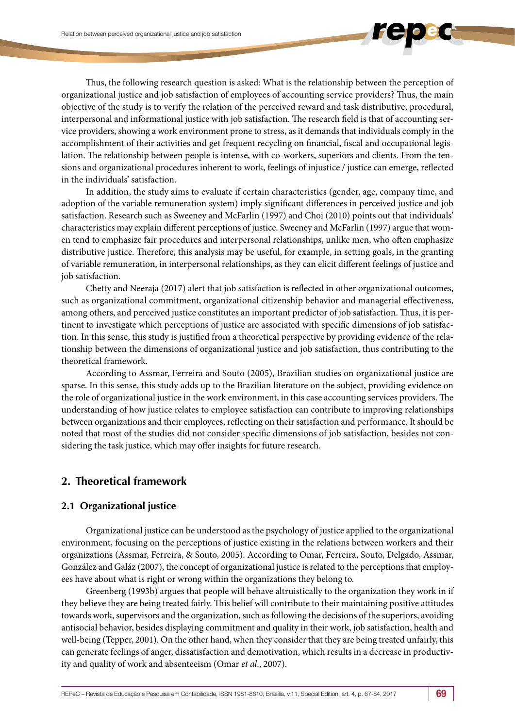Thus, the following research question is asked: What is the relationship between the perception of organizational justice and job satisfaction of employees of accounting service providers? Thus, the main objective of the study is to verify the relation of the perceived reward and task distributive, procedural, interpersonal and informational justice with job satisfaction. The research field is that of accounting service providers, showing a work environment prone to stress, as it demands that individuals comply in the accomplishment of their activities and get frequent recycling on financial, fiscal and occupational legislation. The relationship between people is intense, with co-workers, superiors and clients. From the tensions and organizational procedures inherent to work, feelings of injustice / justice can emerge, reflected in the individuals' satisfaction.

In addition, the study aims to evaluate if certain characteristics (gender, age, company time, and adoption of the variable remuneration system) imply significant differences in perceived justice and job satisfaction. Research such as Sweeney and McFarlin (1997) and Choi (2010) points out that individuals' characteristics may explain different perceptions of justice. Sweeney and McFarlin (1997) argue that women tend to emphasize fair procedures and interpersonal relationships, unlike men, who often emphasize distributive justice. Therefore, this analysis may be useful, for example, in setting goals, in the granting of variable remuneration, in interpersonal relationships, as they can elicit different feelings of justice and job satisfaction.

Chetty and Neeraja (2017) alert that job satisfaction is reflected in other organizational outcomes, such as organizational commitment, organizational citizenship behavior and managerial effectiveness, among others, and perceived justice constitutes an important predictor of job satisfaction. Thus, it is pertinent to investigate which perceptions of justice are associated with specific dimensions of job satisfaction. In this sense, this study is justified from a theoretical perspective by providing evidence of the relationship between the dimensions of organizational justice and job satisfaction, thus contributing to the theoretical framework.

According to Assmar, Ferreira and Souto (2005), Brazilian studies on organizational justice are sparse. In this sense, this study adds up to the Brazilian literature on the subject, providing evidence on the role of organizational justice in the work environment, in this case accounting services providers. The understanding of how justice relates to employee satisfaction can contribute to improving relationships between organizations and their employees, reflecting on their satisfaction and performance. It should be noted that most of the studies did not consider specific dimensions of job satisfaction, besides not considering the task justice, which may offer insights for future research.

# **2. Theoretical framework**

# **2.1 Organizational justice**

Organizational justice can be understood as the psychology of justice applied to the organizational environment, focusing on the perceptions of justice existing in the relations between workers and their organizations (Assmar, Ferreira, & Souto, 2005). According to Omar, Ferreira, Souto, Delgado, Assmar, González and Galáz (2007), the concept of organizational justice is related to the perceptions that employees have about what is right or wrong within the organizations they belong to.

Greenberg (1993b) argues that people will behave altruistically to the organization they work in if they believe they are being treated fairly. This belief will contribute to their maintaining positive attitudes towards work, supervisors and the organization, such as following the decisions of the superiors, avoiding antisocial behavior, besides displaying commitment and quality in their work, job satisfaction, health and well-being (Tepper, 2001). On the other hand, when they consider that they are being treated unfairly, this can generate feelings of anger, dissatisfaction and demotivation, which results in a decrease in productivity and quality of work and absenteeism (Omar *et al*., 2007).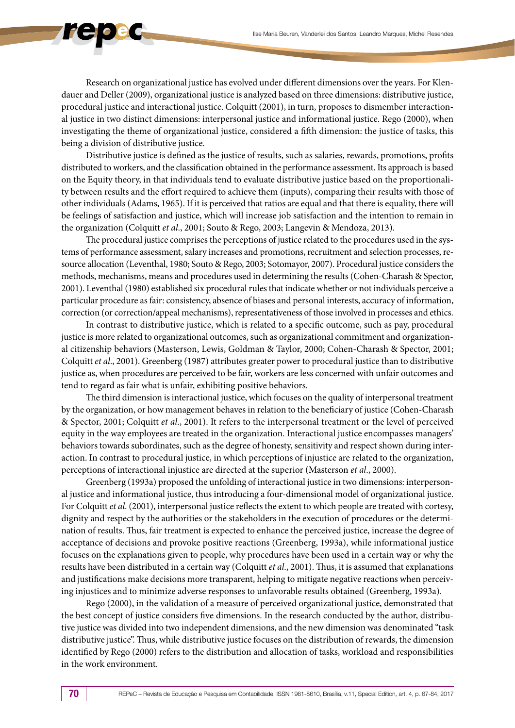Research on organizational justice has evolved under different dimensions over the years. For Klendauer and Deller (2009), organizational justice is analyzed based on three dimensions: distributive justice, procedural justice and interactional justice. Colquitt (2001), in turn, proposes to dismember interactional justice in two distinct dimensions: interpersonal justice and informational justice. Rego (2000), when investigating the theme of organizational justice, considered a fifth dimension: the justice of tasks, this being a division of distributive justice.

Distributive justice is defined as the justice of results, such as salaries, rewards, promotions, profits distributed to workers, and the classification obtained in the performance assessment. Its approach is based on the Equity theory, in that individuals tend to evaluate distributive justice based on the proportionality between results and the effort required to achieve them (inputs), comparing their results with those of other individuals (Adams, 1965). If it is perceived that ratios are equal and that there is equality, there will be feelings of satisfaction and justice, which will increase job satisfaction and the intention to remain in the organization (Colquitt *et al*., 2001; Souto & Rego, 2003; Langevin & Mendoza, 2013).

The procedural justice comprises the perceptions of justice related to the procedures used in the systems of performance assessment, salary increases and promotions, recruitment and selection processes, resource allocation (Leventhal, 1980; Souto & Rego, 2003; Sotomayor, 2007). Procedural justice considers the methods, mechanisms, means and procedures used in determining the results (Cohen-Charash & Spector, 2001). Leventhal (1980) established six procedural rules that indicate whether or not individuals perceive a particular procedure as fair: consistency, absence of biases and personal interests, accuracy of information, correction (or correction/appeal mechanisms), representativeness of those involved in processes and ethics.

In contrast to distributive justice, which is related to a specific outcome, such as pay, procedural justice is more related to organizational outcomes, such as organizational commitment and organizational citizenship behaviors (Masterson, Lewis, Goldman & Taylor, 2000; Cohen-Charash & Spector, 2001; Colquitt *et al*., 2001). Greenberg (1987) attributes greater power to procedural justice than to distributive justice as, when procedures are perceived to be fair, workers are less concerned with unfair outcomes and tend to regard as fair what is unfair, exhibiting positive behaviors.

The third dimension is interactional justice, which focuses on the quality of interpersonal treatment by the organization, or how management behaves in relation to the beneficiary of justice (Cohen-Charash & Spector, 2001; Colquitt *et al*., 2001). It refers to the interpersonal treatment or the level of perceived equity in the way employees are treated in the organization. Interactional justice encompasses managers' behaviors towards subordinates, such as the degree of honesty, sensitivity and respect shown during interaction. In contrast to procedural justice, in which perceptions of injustice are related to the organization, perceptions of interactional injustice are directed at the superior (Masterson *et al*., 2000).

Greenberg (1993a) proposed the unfolding of interactional justice in two dimensions: interpersonal justice and informational justice, thus introducing a four-dimensional model of organizational justice. For Colquitt *et al*. (2001), interpersonal justice reflects the extent to which people are treated with cortesy, dignity and respect by the authorities or the stakeholders in the execution of procedures or the determination of results. Thus, fair treatment is expected to enhance the perceived justice, increase the degree of acceptance of decisions and provoke positive reactions (Greenberg, 1993a), while informational justice focuses on the explanations given to people, why procedures have been used in a certain way or why the results have been distributed in a certain way (Colquitt *et al*., 2001). Thus, it is assumed that explanations and justifications make decisions more transparent, helping to mitigate negative reactions when perceiving injustices and to minimize adverse responses to unfavorable results obtained (Greenberg, 1993a).

Rego (2000), in the validation of a measure of perceived organizational justice, demonstrated that the best concept of justice considers five dimensions. In the research conducted by the author, distributive justice was divided into two independent dimensions, and the new dimension was denominated "task distributive justice". Thus, while distributive justice focuses on the distribution of rewards, the dimension identified by Rego (2000) refers to the distribution and allocation of tasks, workload and responsibilities in the work environment.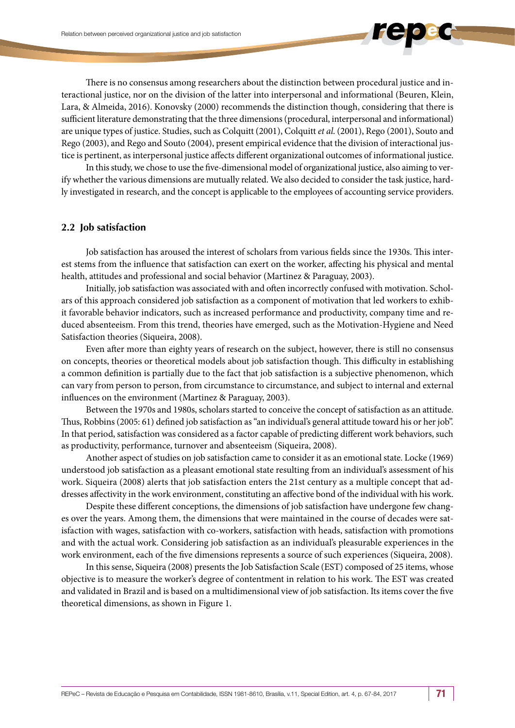There is no consensus among researchers about the distinction between procedural justice and interactional justice, nor on the division of the latter into interpersonal and informational (Beuren, Klein, Lara, & Almeida, 2016). Konovsky (2000) recommends the distinction though, considering that there is sufficient literature demonstrating that the three dimensions (procedural, interpersonal and informational) are unique types of justice. Studies, such as Colquitt (2001), Colquitt *et al*. (2001), Rego (2001), Souto and Rego (2003), and Rego and Souto (2004), present empirical evidence that the division of interactional justice is pertinent, as interpersonal justice affects different organizational outcomes of informational justice.

In this study, we chose to use the five-dimensional model of organizational justice, also aiming to verify whether the various dimensions are mutually related. We also decided to consider the task justice, hardly investigated in research, and the concept is applicable to the employees of accounting service providers.

### **2.2 Job satisfaction**

Job satisfaction has aroused the interest of scholars from various fields since the 1930s. This interest stems from the influence that satisfaction can exert on the worker, affecting his physical and mental health, attitudes and professional and social behavior (Martinez & Paraguay, 2003).

Initially, job satisfaction was associated with and often incorrectly confused with motivation. Scholars of this approach considered job satisfaction as a component of motivation that led workers to exhibit favorable behavior indicators, such as increased performance and productivity, company time and reduced absenteeism. From this trend, theories have emerged, such as the Motivation-Hygiene and Need Satisfaction theories (Siqueira, 2008).

Even after more than eighty years of research on the subject, however, there is still no consensus on concepts, theories or theoretical models about job satisfaction though. This difficulty in establishing a common definition is partially due to the fact that job satisfaction is a subjective phenomenon, which can vary from person to person, from circumstance to circumstance, and subject to internal and external influences on the environment (Martinez & Paraguay, 2003).

Between the 1970s and 1980s, scholars started to conceive the concept of satisfaction as an attitude. Thus, Robbins (2005: 61) defined job satisfaction as "an individual's general attitude toward his or her job". In that period, satisfaction was considered as a factor capable of predicting different work behaviors, such as productivity, performance, turnover and absenteeism (Siqueira, 2008).

Another aspect of studies on job satisfaction came to consider it as an emotional state. Locke (1969) understood job satisfaction as a pleasant emotional state resulting from an individual's assessment of his work. Siqueira (2008) alerts that job satisfaction enters the 21st century as a multiple concept that addresses affectivity in the work environment, constituting an affective bond of the individual with his work.

Despite these different conceptions, the dimensions of job satisfaction have undergone few changes over the years. Among them, the dimensions that were maintained in the course of decades were satisfaction with wages, satisfaction with co-workers, satisfaction with heads, satisfaction with promotions and with the actual work. Considering job satisfaction as an individual's pleasurable experiences in the work environment, each of the five dimensions represents a source of such experiences (Siqueira, 2008).

In this sense, Siqueira (2008) presents the Job Satisfaction Scale (EST) composed of 25 items, whose objective is to measure the worker's degree of contentment in relation to his work. The EST was created and validated in Brazil and is based on a multidimensional view of job satisfaction. Its items cover the five theoretical dimensions, as shown in Figure 1.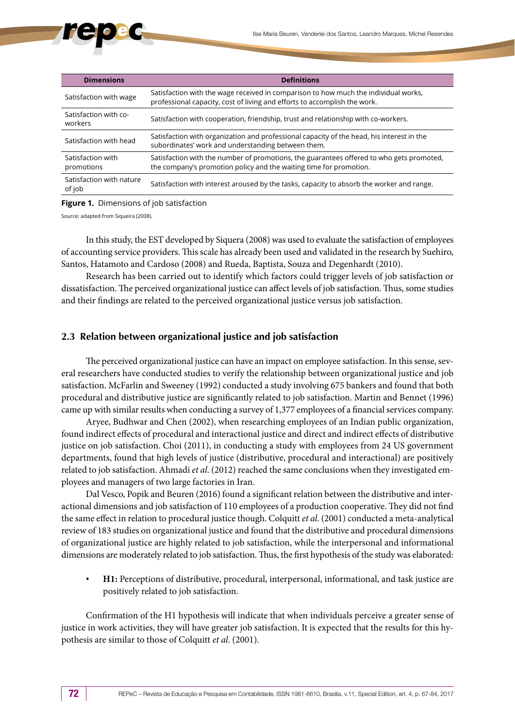| <b>Dimensions</b>                  | <b>Definitions</b>                                                                                                                                               |
|------------------------------------|------------------------------------------------------------------------------------------------------------------------------------------------------------------|
| Satisfaction with wage             | Satisfaction with the wage received in comparison to how much the individual works,<br>professional capacity, cost of living and efforts to accomplish the work. |
| Satisfaction with co-<br>workers   | Satisfaction with cooperation, friendship, trust and relationship with co-workers.                                                                               |
| Satisfaction with head             | Satisfaction with organization and professional capacity of the head, his interest in the<br>subordinates' work and understanding between them.                  |
| Satisfaction with<br>promotions    | Satisfaction with the number of promotions, the guarantees offered to who gets promoted,<br>the company's promotion policy and the waiting time for promotion.   |
| Satisfaction with nature<br>of job | Satisfaction with interest aroused by the tasks, capacity to absorb the worker and range.                                                                        |

#### **Figure 1.** Dimensions of job satisfaction

Source: adapted from Siqueira (2008).

In this study, the EST developed by Siquera (2008) was used to evaluate the satisfaction of employees of accounting service providers. This scale has already been used and validated in the research by Suehiro, Santos, Hatamoto and Cardoso (2008) and Rueda, Baptista, Souza and Degenhardt (2010).

Research has been carried out to identify which factors could trigger levels of job satisfaction or dissatisfaction. The perceived organizational justice can affect levels of job satisfaction. Thus, some studies and their findings are related to the perceived organizational justice versus job satisfaction.

# **2.3 Relation between organizational justice and job satisfaction**

The perceived organizational justice can have an impact on employee satisfaction. In this sense, several researchers have conducted studies to verify the relationship between organizational justice and job satisfaction. McFarlin and Sweeney (1992) conducted a study involving 675 bankers and found that both procedural and distributive justice are significantly related to job satisfaction. Martin and Bennet (1996) came up with similar results when conducting a survey of 1,377 employees of a financial services company.

Aryee, Budhwar and Chen (2002), when researching employees of an Indian public organization, found indirect effects of procedural and interactional justice and direct and indirect effects of distributive justice on job satisfaction. Choi (2011), in conducting a study with employees from 24 US government departments, found that high levels of justice (distributive, procedural and interactional) are positively related to job satisfaction. Ahmadi *et al*. (2012) reached the same conclusions when they investigated employees and managers of two large factories in Iran.

Dal Vesco, Popik and Beuren (2016) found a significant relation between the distributive and interactional dimensions and job satisfaction of 110 employees of a production cooperative. They did not find the same effect in relation to procedural justice though. Colquitt *et al*. (2001) conducted a meta-analytical review of 183 studies on organizational justice and found that the distributive and procedural dimensions of organizational justice are highly related to job satisfaction, while the interpersonal and informational dimensions are moderately related to job satisfaction. Thus, the first hypothesis of the study was elaborated:

• **H1:** Perceptions of distributive, procedural, interpersonal, informational, and task justice are positively related to job satisfaction.

Confirmation of the H1 hypothesis will indicate that when individuals perceive a greater sense of justice in work activities, they will have greater job satisfaction. It is expected that the results for this hypothesis are similar to those of Colquitt *et al*. (2001).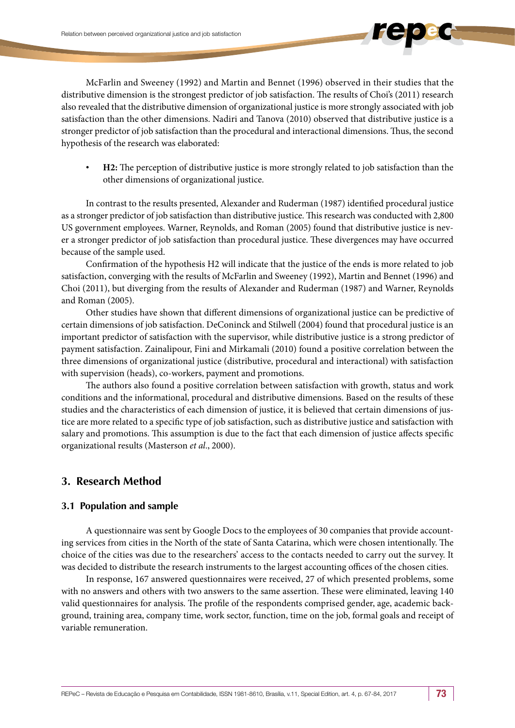McFarlin and Sweeney (1992) and Martin and Bennet (1996) observed in their studies that the distributive dimension is the strongest predictor of job satisfaction. The results of Choi's (2011) research also revealed that the distributive dimension of organizational justice is more strongly associated with job satisfaction than the other dimensions. Nadiri and Tanova (2010) observed that distributive justice is a stronger predictor of job satisfaction than the procedural and interactional dimensions. Thus, the second hypothesis of the research was elaborated:

• **H2:** The perception of distributive justice is more strongly related to job satisfaction than the other dimensions of organizational justice.

In contrast to the results presented, Alexander and Ruderman (1987) identified procedural justice as a stronger predictor of job satisfaction than distributive justice. This research was conducted with 2,800 US government employees. Warner, Reynolds, and Roman (2005) found that distributive justice is never a stronger predictor of job satisfaction than procedural justice. These divergences may have occurred because of the sample used.

Confirmation of the hypothesis H2 will indicate that the justice of the ends is more related to job satisfaction, converging with the results of McFarlin and Sweeney (1992), Martin and Bennet (1996) and Choi (2011), but diverging from the results of Alexander and Ruderman (1987) and Warner, Reynolds and Roman (2005).

Other studies have shown that different dimensions of organizational justice can be predictive of certain dimensions of job satisfaction. DeConinck and Stilwell (2004) found that procedural justice is an important predictor of satisfaction with the supervisor, while distributive justice is a strong predictor of payment satisfaction. Zainalipour, Fini and Mirkamali (2010) found a positive correlation between the three dimensions of organizational justice (distributive, procedural and interactional) with satisfaction with supervision (heads), co-workers, payment and promotions.

The authors also found a positive correlation between satisfaction with growth, status and work conditions and the informational, procedural and distributive dimensions. Based on the results of these studies and the characteristics of each dimension of justice, it is believed that certain dimensions of justice are more related to a specific type of job satisfaction, such as distributive justice and satisfaction with salary and promotions. This assumption is due to the fact that each dimension of justice affects specific organizational results (Masterson *et al*., 2000).

# **3. Research Method**

# **3.1 Population and sample**

A questionnaire was sent by Google Docs to the employees of 30 companies that provide accounting services from cities in the North of the state of Santa Catarina, which were chosen intentionally. The choice of the cities was due to the researchers' access to the contacts needed to carry out the survey. It was decided to distribute the research instruments to the largest accounting offices of the chosen cities.

In response, 167 answered questionnaires were received, 27 of which presented problems, some with no answers and others with two answers to the same assertion. These were eliminated, leaving 140 valid questionnaires for analysis. The profile of the respondents comprised gender, age, academic background, training area, company time, work sector, function, time on the job, formal goals and receipt of variable remuneration.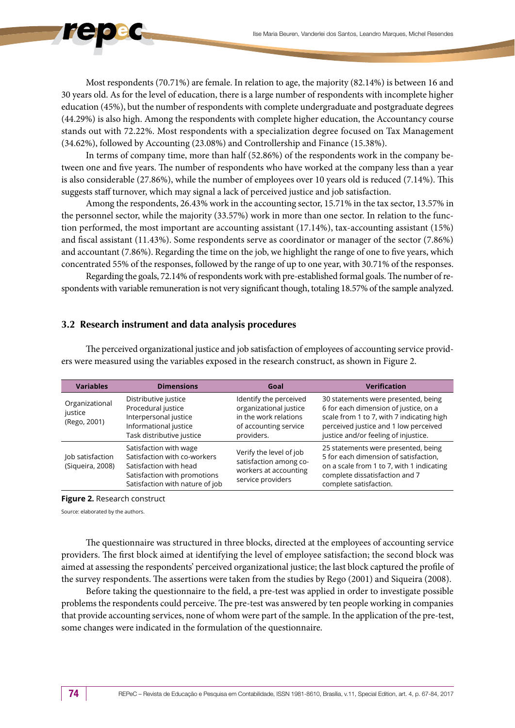Most respondents (70.71%) are female. In relation to age, the majority (82.14%) is between 16 and 30 years old. As for the level of education, there is a large number of respondents with incomplete higher education (45%), but the number of respondents with complete undergraduate and postgraduate degrees (44.29%) is also high. Among the respondents with complete higher education, the Accountancy course stands out with 72.22%. Most respondents with a specialization degree focused on Tax Management (34.62%), followed by Accounting (23.08%) and Controllership and Finance (15.38%).

In terms of company time, more than half (52.86%) of the respondents work in the company between one and five years. The number of respondents who have worked at the company less than a year is also considerable (27.86%), while the number of employees over 10 years old is reduced (7.14%). This suggests staff turnover, which may signal a lack of perceived justice and job satisfaction.

Among the respondents, 26.43% work in the accounting sector, 15.71% in the tax sector, 13.57% in the personnel sector, while the majority (33.57%) work in more than one sector. In relation to the function performed, the most important are accounting assistant (17.14%), tax-accounting assistant (15%) and fiscal assistant (11.43%). Some respondents serve as coordinator or manager of the sector (7.86%) and accountant (7.86%). Regarding the time on the job, we highlight the range of one to five years, which concentrated 55% of the responses, followed by the range of up to one year, with 30.71% of the responses.

Regarding the goals, 72.14% of respondents work with pre-established formal goals. The number of respondents with variable remuneration is not very significant though, totaling 18.57% of the sample analyzed.

### **3.2 Research instrument and data analysis procedures**

| <b>Variables</b>                          | <b>Dimensions</b>                                                                                                                                   | Goal                                                                                                             | <b>Verification</b>                                                                                                                                                                                        |
|-------------------------------------------|-----------------------------------------------------------------------------------------------------------------------------------------------------|------------------------------------------------------------------------------------------------------------------|------------------------------------------------------------------------------------------------------------------------------------------------------------------------------------------------------------|
| Organizational<br>justice<br>(Rego, 2001) | Distributive justice<br>Procedural justice<br>Interpersonal justice<br>Informational justice<br>Task distributive justice                           | Identify the perceived<br>organizational justice<br>in the work relations<br>of accounting service<br>providers. | 30 statements were presented, being<br>6 for each dimension of justice, on a<br>scale from 1 to 7, with 7 indicating high<br>perceived justice and 1 low perceived<br>justice and/or feeling of injustice. |
| Job satisfaction<br>(Siqueira, 2008)      | Satisfaction with wage<br>Satisfaction with co-workers<br>Satisfaction with head<br>Satisfaction with promotions<br>Satisfaction with nature of job | Verify the level of job<br>satisfaction among co-<br>workers at accounting<br>service providers                  | 25 statements were presented, being<br>5 for each dimension of satisfaction,<br>on a scale from 1 to 7, with 1 indicating<br>complete dissatisfaction and 7<br>complete satisfaction.                      |

The perceived organizational justice and job satisfaction of employees of accounting service providers were measured using the variables exposed in the research construct, as shown in Figure 2.

**Figure 2.** Research construct

Source: elaborated by the authors.

The questionnaire was structured in three blocks, directed at the employees of accounting service providers. The first block aimed at identifying the level of employee satisfaction; the second block was aimed at assessing the respondents' perceived organizational justice; the last block captured the profile of the survey respondents. The assertions were taken from the studies by Rego (2001) and Siqueira (2008).

Before taking the questionnaire to the field, a pre-test was applied in order to investigate possible problems the respondents could perceive. The pre-test was answered by ten people working in companies that provide accounting services, none of whom were part of the sample. In the application of the pre-test, some changes were indicated in the formulation of the questionnaire.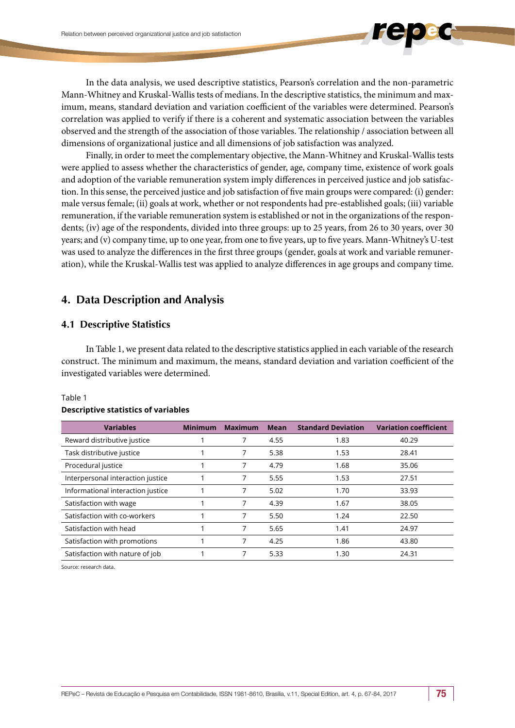In the data analysis, we used descriptive statistics, Pearson's correlation and the non-parametric Mann-Whitney and Kruskal-Wallis tests of medians. In the descriptive statistics, the minimum and maximum, means, standard deviation and variation coefficient of the variables were determined. Pearson's correlation was applied to verify if there is a coherent and systematic association between the variables observed and the strength of the association of those variables. The relationship / association between all dimensions of organizational justice and all dimensions of job satisfaction was analyzed.

Finally, in order to meet the complementary objective, the Mann-Whitney and Kruskal-Wallis tests were applied to assess whether the characteristics of gender, age, company time, existence of work goals and adoption of the variable remuneration system imply differences in perceived justice and job satisfaction. In this sense, the perceived justice and job satisfaction of five main groups were compared: (i) gender: male versus female; (ii) goals at work, whether or not respondents had pre-established goals; (iii) variable remuneration, if the variable remuneration system is established or not in the organizations of the respondents; (iv) age of the respondents, divided into three groups: up to 25 years, from 26 to 30 years, over 30 years; and (v) company time, up to one year, from one to five years, up to five years. Mann-Whitney's U-test was used to analyze the differences in the first three groups (gender, goals at work and variable remuneration), while the Kruskal-Wallis test was applied to analyze differences in age groups and company time.

# **4. Data Description and Analysis**

### **4.1 Descriptive Statistics**

In Table 1, we present data related to the descriptive statistics applied in each variable of the research construct. The minimum and maximum, the means, standard deviation and variation coefficient of the investigated variables were determined.

| <b>Variables</b>                  | <b>Minimum</b> | <b>Maximum</b> | <b>Mean</b> | <b>Standard Deviation</b> | <b>Variation coefficient</b> |
|-----------------------------------|----------------|----------------|-------------|---------------------------|------------------------------|
| Reward distributive justice       |                |                | 4.55        | 1.83                      | 40.29                        |
| Task distributive justice         |                | 7              | 5.38        | 1.53                      | 28.41                        |
| Procedural justice                |                | 7              | 4.79        | 1.68                      | 35.06                        |
| Interpersonal interaction justice |                |                | 5.55        | 1.53                      | 27.51                        |
| Informational interaction justice |                |                | 5.02        | 1.70                      | 33.93                        |
| Satisfaction with wage            |                | 7              | 4.39        | 1.67                      | 38.05                        |
| Satisfaction with co-workers      |                |                | 5.50        | 1.24                      | 22.50                        |
| Satisfaction with head            |                |                | 5.65        | 1.41                      | 24.97                        |
| Satisfaction with promotions      |                | 7              | 4.25        | 1.86                      | 43.80                        |
| Satisfaction with nature of job   |                |                | 5.33        | 1.30                      | 24.31                        |

### Table 1

#### **Descriptive statistics of variables**

Source: research data.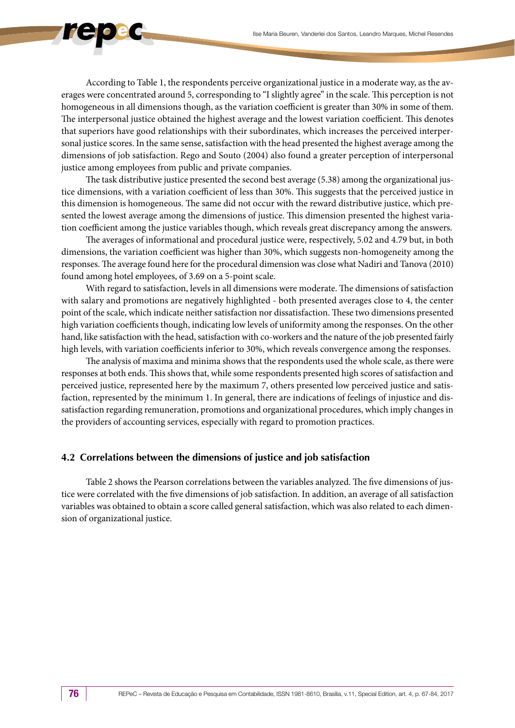According to Table 1, the respondents perceive organizational justice in a moderate way, as the averages were concentrated around 5, corresponding to "I slightly agree" in the scale. This perception is not homogeneous in all dimensions though, as the variation coefficient is greater than 30% in some of them. The interpersonal justice obtained the highest average and the lowest variation coefficient. This denotes that superiors have good relationships with their subordinates, which increases the perceived interpersonal justice scores. In the same sense, satisfaction with the head presented the highest average among the dimensions of job satisfaction. Rego and Souto (2004) also found a greater perception of interpersonal justice among employees from public and private companies.

The task distributive justice presented the second best average (5.38) among the organizational justice dimensions, with a variation coefficient of less than 30%. This suggests that the perceived justice in this dimension is homogeneous. The same did not occur with the reward distributive justice, which presented the lowest average among the dimensions of justice. This dimension presented the highest variation coefficient among the justice variables though, which reveals great discrepancy among the answers.

The averages of informational and procedural justice were, respectively, 5.02 and 4.79 but, in both dimensions, the variation coefficient was higher than 30%, which suggests non-homogeneity among the responses. The average found here for the procedural dimension was close what Nadiri and Tanova (2010) found among hotel employees, of 3.69 on a 5-point scale.

With regard to satisfaction, levels in all dimensions were moderate. The dimensions of satisfaction with salary and promotions are negatively highlighted - both presented averages close to 4, the center point of the scale, which indicate neither satisfaction nor dissatisfaction. These two dimensions presented high variation coefficients though, indicating low levels of uniformity among the responses. On the other hand, like satisfaction with the head, satisfaction with co-workers and the nature of the job presented fairly high levels, with variation coefficients inferior to 30%, which reveals convergence among the responses.

The analysis of maxima and minima shows that the respondents used the whole scale, as there were responses at both ends. This shows that, while some respondents presented high scores of satisfaction and perceived justice, represented here by the maximum 7, others presented low perceived justice and satisfaction, represented by the minimum 1. In general, there are indications of feelings of injustice and dissatisfaction regarding remuneration, promotions and organizational procedures, which imply changes in the providers of accounting services, especially with regard to promotion practices.

#### **4.2 Correlations between the dimensions of justice and job satisfaction**

Table 2 shows the Pearson correlations between the variables analyzed. The five dimensions of justice were correlated with the five dimensions of job satisfaction. In addition, an average of all satisfaction variables was obtained to obtain a score called general satisfaction, which was also related to each dimension of organizational justice.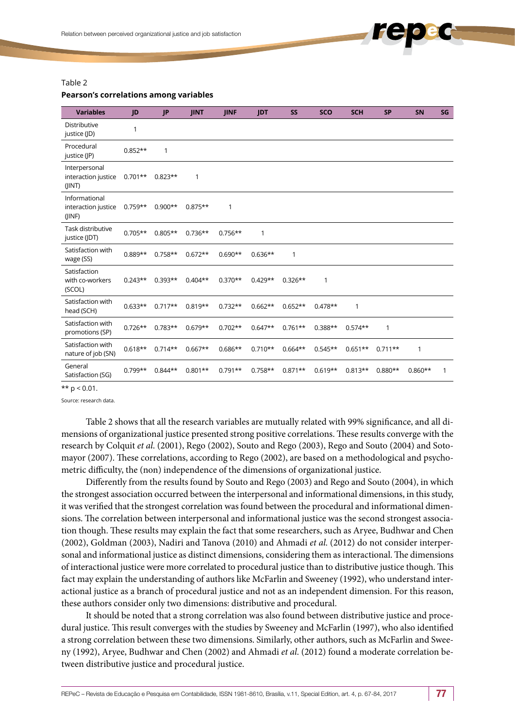### Table 2

#### **Pearson's correlations among variables**

| <b>Variables</b>                               | JD        | JP        | <b>JINT</b> | <b>JINF</b> | <b>JDT</b> | <b>SS</b> | <b>SCO</b> | <b>SCH</b> | <b>SP</b>    | SN        | SG |
|------------------------------------------------|-----------|-----------|-------------|-------------|------------|-----------|------------|------------|--------------|-----------|----|
| Distributive<br>justice (JD)                   | 1         |           |             |             |            |           |            |            |              |           |    |
| Procedural<br>justice (JP)                     | $0.852**$ | 1         |             |             |            |           |            |            |              |           |    |
| Interpersonal<br>interaction justice<br>(JINT) | $0.701**$ | $0.823**$ | 1           |             |            |           |            |            |              |           |    |
| Informational<br>interaction justice<br>(JINF) | $0.759**$ | $0.900**$ | $0.875**$   | 1           |            |           |            |            |              |           |    |
| Task distributive<br>justice (JDT)             | $0.705**$ | $0.805**$ | $0.736**$   | $0.756**$   | 1          |           |            |            |              |           |    |
| Satisfaction with<br>wage (SS)                 | $0.889**$ | $0.758**$ | $0.672**$   | $0.690**$   | $0.636**$  | 1         |            |            |              |           |    |
| Satisfaction<br>with co-workers<br>(SCOL)      | $0.243**$ | $0.393**$ | $0.404**$   | $0.370**$   | $0.429**$  | $0.326**$ | 1          |            |              |           |    |
| Satisfaction with<br>head (SCH)                | $0.633**$ | $0.717**$ | $0.819**$   | $0.732**$   | $0.662**$  | $0.652**$ | $0.478**$  | 1          |              |           |    |
| Satisfaction with<br>promotions (SP)           | $0.726**$ | $0.783**$ | $0.679**$   | $0.702**$   | $0.647**$  | $0.761**$ | $0.388**$  | $0.574**$  | $\mathbf{1}$ |           |    |
| Satisfaction with<br>nature of job (SN)        | $0.618**$ | $0.714**$ | $0.667**$   | $0.686**$   | $0.710**$  | $0.664**$ | $0.545**$  | $0.651**$  | $0.711**$    | 1         |    |
| General<br>Satisfaction (SG)                   | $0.799**$ | $0.844**$ | $0.801**$   | $0.791**$   | $0.758**$  | $0.871**$ | $0.619**$  | $0.813**$  | $0.880**$    | $0.860**$ | 1  |

\*\*  $p < 0.01$ .

Source: research data.

Table 2 shows that all the research variables are mutually related with 99% significance, and all dimensions of organizational justice presented strong positive correlations. These results converge with the research by Colquit *et al*. (2001), Rego (2002), Souto and Rego (2003), Rego and Souto (2004) and Sotomayor (2007). These correlations, according to Rego (2002), are based on a methodological and psychometric difficulty, the (non) independence of the dimensions of organizational justice.

Differently from the results found by Souto and Rego (2003) and Rego and Souto (2004), in which the strongest association occurred between the interpersonal and informational dimensions, in this study, it was verified that the strongest correlation was found between the procedural and informational dimensions. The correlation between interpersonal and informational justice was the second strongest association though. These results may explain the fact that some researchers, such as Aryee, Budhwar and Chen (2002), Goldman (2003), Nadiri and Tanova (2010) and Ahmadi *et al*. (2012) do not consider interpersonal and informational justice as distinct dimensions, considering them as interactional. The dimensions of interactional justice were more correlated to procedural justice than to distributive justice though. This fact may explain the understanding of authors like McFarlin and Sweeney (1992), who understand interactional justice as a branch of procedural justice and not as an independent dimension. For this reason, these authors consider only two dimensions: distributive and procedural.

It should be noted that a strong correlation was also found between distributive justice and procedural justice. This result converges with the studies by Sweeney and McFarlin (1997), who also identified a strong correlation between these two dimensions. Similarly, other authors, such as McFarlin and Sweeny (1992), Aryee, Budhwar and Chen (2002) and Ahmadi *et al*. (2012) found a moderate correlation between distributive justice and procedural justice.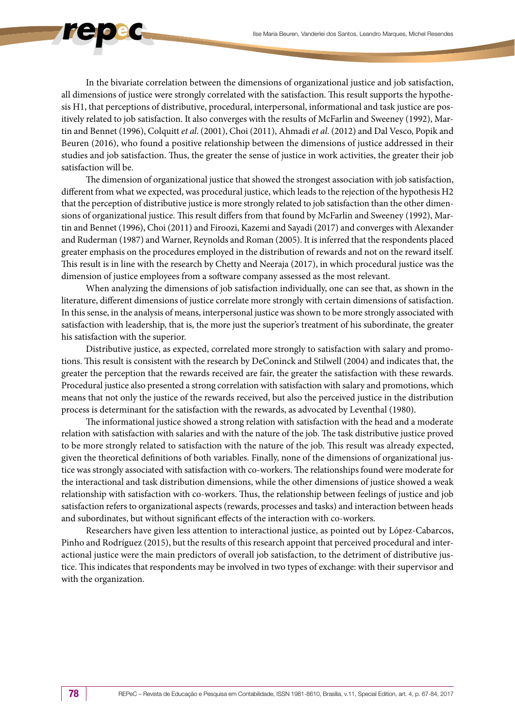In the bivariate correlation between the dimensions of organizational justice and job satisfaction, all dimensions of justice were strongly correlated with the satisfaction. This result supports the hypothesis H1, that perceptions of distributive, procedural, interpersonal, informational and task justice are positively related to job satisfaction. It also converges with the results of McFarlin and Sweeney (1992), Martin and Bennet (1996), Colquitt *et al*. (2001), Choi (2011), Ahmadi *et al*. (2012) and Dal Vesco, Popik and Beuren (2016), who found a positive relationship between the dimensions of justice addressed in their studies and job satisfaction. Thus, the greater the sense of justice in work activities, the greater their job satisfaction will be.

The dimension of organizational justice that showed the strongest association with job satisfaction, different from what we expected, was procedural justice, which leads to the rejection of the hypothesis H2 that the perception of distributive justice is more strongly related to job satisfaction than the other dimensions of organizational justice. This result differs from that found by McFarlin and Sweeney (1992), Martin and Bennet (1996), Choi (2011) and Firoozi, Kazemi and Sayadi (2017) and converges with Alexander and Ruderman (1987) and Warner, Reynolds and Roman (2005). It is inferred that the respondents placed greater emphasis on the procedures employed in the distribution of rewards and not on the reward itself. This result is in line with the research by Chetty and Neeraja (2017), in which procedural justice was the dimension of justice employees from a software company assessed as the most relevant.

When analyzing the dimensions of job satisfaction individually, one can see that, as shown in the literature, different dimensions of justice correlate more strongly with certain dimensions of satisfaction. In this sense, in the analysis of means, interpersonal justice was shown to be more strongly associated with satisfaction with leadership, that is, the more just the superior's treatment of his subordinate, the greater his satisfaction with the superior.

Distributive justice, as expected, correlated more strongly to satisfaction with salary and promotions. This result is consistent with the research by DeConinck and Stilwell (2004) and indicates that, the greater the perception that the rewards received are fair, the greater the satisfaction with these rewards. Procedural justice also presented a strong correlation with satisfaction with salary and promotions, which means that not only the justice of the rewards received, but also the perceived justice in the distribution process is determinant for the satisfaction with the rewards, as advocated by Leventhal (1980).

The informational justice showed a strong relation with satisfaction with the head and a moderate relation with satisfaction with salaries and with the nature of the job. The task distributive justice proved to be more strongly related to satisfaction with the nature of the job. This result was already expected, given the theoretical definitions of both variables. Finally, none of the dimensions of organizational justice was strongly associated with satisfaction with co-workers. The relationships found were moderate for the interactional and task distribution dimensions, while the other dimensions of justice showed a weak relationship with satisfaction with co-workers. Thus, the relationship between feelings of justice and job satisfaction refers to organizational aspects (rewards, processes and tasks) and interaction between heads and subordinates, but without significant effects of the interaction with co-workers.

Researchers have given less attention to interactional justice, as pointed out by López-Cabarcos, Pinho and Rodríguez (2015), but the results of this research appoint that perceived procedural and interactional justice were the main predictors of overall job satisfaction, to the detriment of distributive justice. This indicates that respondents may be involved in two types of exchange: with their supervisor and with the organization.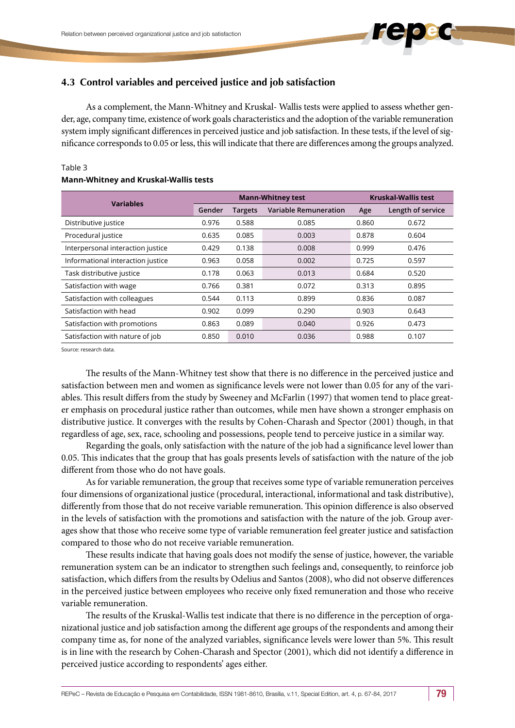# **4.3 Control variables and perceived justice and job satisfaction**

As a complement, the Mann-Whitney and Kruskal- Wallis tests were applied to assess whether gender, age, company time, existence of work goals characteristics and the adoption of the variable remuneration system imply significant differences in perceived justice and job satisfaction. In these tests, if the level of significance corresponds to 0.05 or less, this will indicate that there are differences among the groups analyzed.

### Table 3

#### **Mann-Whitney and Kruskal-Wallis tests**

| <b>Variables</b>                  |        |                | <b>Mann-Whitney test</b>     | <b>Kruskal-Wallis test</b> |                   |  |
|-----------------------------------|--------|----------------|------------------------------|----------------------------|-------------------|--|
|                                   | Gender | <b>Targets</b> | <b>Variable Remuneration</b> | Age                        | Length of service |  |
| Distributive justice              | 0.976  | 0.588          | 0.085                        | 0.860                      | 0.672             |  |
| Procedural justice                | 0.635  | 0.085          | 0.003                        | 0.878                      | 0.604             |  |
| Interpersonal interaction justice | 0.429  | 0.138          | 0.008                        | 0.999                      | 0.476             |  |
| Informational interaction justice | 0.963  | 0.058          | 0.002                        | 0.725                      | 0.597             |  |
| Task distributive justice         | 0.178  | 0.063          | 0.013                        | 0.684                      | 0.520             |  |
| Satisfaction with wage            | 0.766  | 0.381          | 0.072                        | 0.313                      | 0.895             |  |
| Satisfaction with colleagues      | 0.544  | 0.113          | 0.899                        | 0.836                      | 0.087             |  |
| Satisfaction with head            | 0.902  | 0.099          | 0.290                        | 0.903                      | 0.643             |  |
| Satisfaction with promotions      | 0.863  | 0.089          | 0.040                        | 0.926                      | 0.473             |  |
| Satisfaction with nature of job   | 0.850  | 0.010          | 0.036                        | 0.988                      | 0.107             |  |

Source: research data.

The results of the Mann-Whitney test show that there is no difference in the perceived justice and satisfaction between men and women as significance levels were not lower than 0.05 for any of the variables. This result differs from the study by Sweeney and McFarlin (1997) that women tend to place greater emphasis on procedural justice rather than outcomes, while men have shown a stronger emphasis on distributive justice. It converges with the results by Cohen-Charash and Spector (2001) though, in that regardless of age, sex, race, schooling and possessions, people tend to perceive justice in a similar way.

Regarding the goals, only satisfaction with the nature of the job had a significance level lower than 0.05. This indicates that the group that has goals presents levels of satisfaction with the nature of the job different from those who do not have goals.

As for variable remuneration, the group that receives some type of variable remuneration perceives four dimensions of organizational justice (procedural, interactional, informational and task distributive), differently from those that do not receive variable remuneration. This opinion difference is also observed in the levels of satisfaction with the promotions and satisfaction with the nature of the job. Group averages show that those who receive some type of variable remuneration feel greater justice and satisfaction compared to those who do not receive variable remuneration.

These results indicate that having goals does not modify the sense of justice, however, the variable remuneration system can be an indicator to strengthen such feelings and, consequently, to reinforce job satisfaction, which differs from the results by Odelius and Santos (2008), who did not observe differences in the perceived justice between employees who receive only fixed remuneration and those who receive variable remuneration.

The results of the Kruskal-Wallis test indicate that there is no difference in the perception of organizational justice and job satisfaction among the different age groups of the respondents and among their company time as, for none of the analyzed variables, significance levels were lower than 5%. This result is in line with the research by Cohen-Charash and Spector (2001), which did not identify a difference in perceived justice according to respondents' ages either.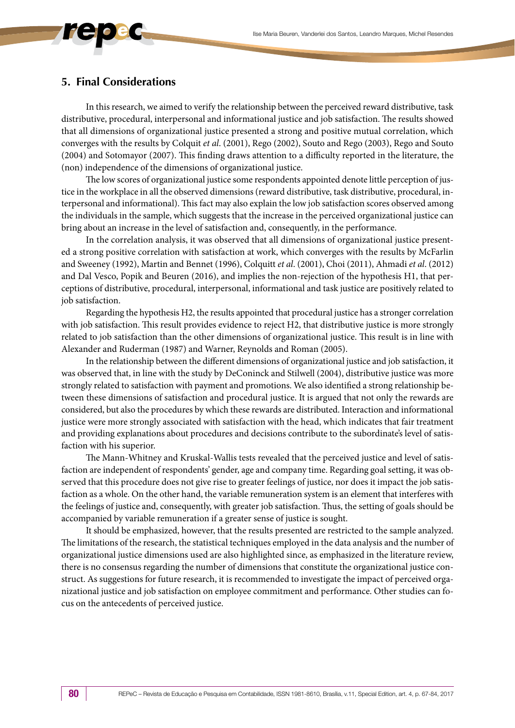# **5. Final Considerations**

In this research, we aimed to verify the relationship between the perceived reward distributive, task distributive, procedural, interpersonal and informational justice and job satisfaction. The results showed that all dimensions of organizational justice presented a strong and positive mutual correlation, which converges with the results by Colquit *et al*. (2001), Rego (2002), Souto and Rego (2003), Rego and Souto (2004) and Sotomayor (2007). This finding draws attention to a difficulty reported in the literature, the (non) independence of the dimensions of organizational justice.

The low scores of organizational justice some respondents appointed denote little perception of justice in the workplace in all the observed dimensions (reward distributive, task distributive, procedural, interpersonal and informational). This fact may also explain the low job satisfaction scores observed among the individuals in the sample, which suggests that the increase in the perceived organizational justice can bring about an increase in the level of satisfaction and, consequently, in the performance.

In the correlation analysis, it was observed that all dimensions of organizational justice presented a strong positive correlation with satisfaction at work, which converges with the results by McFarlin and Sweeney (1992), Martin and Bennet (1996), Colquitt *et al*. (2001), Choi (2011), Ahmadi *et al*. (2012) and Dal Vesco, Popik and Beuren (2016), and implies the non-rejection of the hypothesis H1, that perceptions of distributive, procedural, interpersonal, informational and task justice are positively related to job satisfaction.

Regarding the hypothesis H2, the results appointed that procedural justice has a stronger correlation with job satisfaction. This result provides evidence to reject H2, that distributive justice is more strongly related to job satisfaction than the other dimensions of organizational justice. This result is in line with Alexander and Ruderman (1987) and Warner, Reynolds and Roman (2005).

In the relationship between the different dimensions of organizational justice and job satisfaction, it was observed that, in line with the study by DeConinck and Stilwell (2004), distributive justice was more strongly related to satisfaction with payment and promotions. We also identified a strong relationship between these dimensions of satisfaction and procedural justice. It is argued that not only the rewards are considered, but also the procedures by which these rewards are distributed. Interaction and informational justice were more strongly associated with satisfaction with the head, which indicates that fair treatment and providing explanations about procedures and decisions contribute to the subordinate's level of satisfaction with his superior.

The Mann-Whitney and Kruskal-Wallis tests revealed that the perceived justice and level of satisfaction are independent of respondents' gender, age and company time. Regarding goal setting, it was observed that this procedure does not give rise to greater feelings of justice, nor does it impact the job satisfaction as a whole. On the other hand, the variable remuneration system is an element that interferes with the feelings of justice and, consequently, with greater job satisfaction. Thus, the setting of goals should be accompanied by variable remuneration if a greater sense of justice is sought.

It should be emphasized, however, that the results presented are restricted to the sample analyzed. The limitations of the research, the statistical techniques employed in the data analysis and the number of organizational justice dimensions used are also highlighted since, as emphasized in the literature review, there is no consensus regarding the number of dimensions that constitute the organizational justice construct. As suggestions for future research, it is recommended to investigate the impact of perceived organizational justice and job satisfaction on employee commitment and performance. Other studies can focus on the antecedents of perceived justice.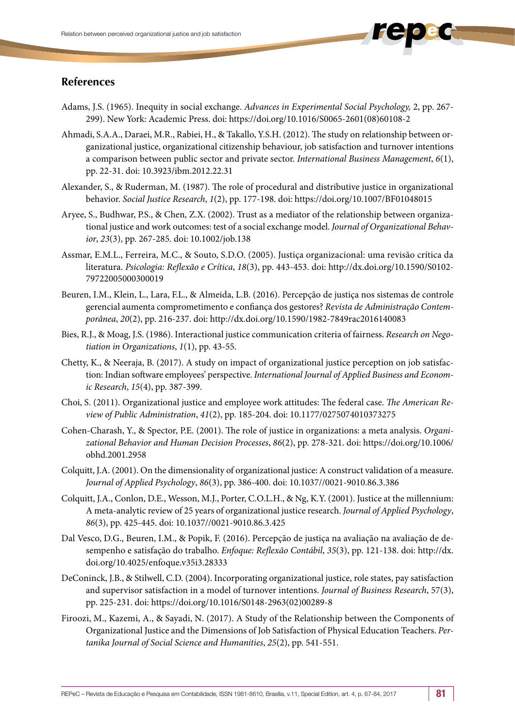- Adams, J.S. (1965). Inequity in social exchange. *Advances in Experimental Social Psychology,* 2, pp. 267- 299). New York: Academic Press. doi: [https://doi.org/10.1016/S0065-2601\(08\)60108-2](https://doi.org/10.1016/S0065-2601(08)60108-2)
- Ahmadi, S.A.A., Daraei, M.R., Rabiei, H., & Takallo, Y.S.H. (2012). The study on relationship between organizational justice, organizational citizenship behaviour, job satisfaction and turnover intentions a comparison between public sector and private sector. *International Business Management*, *6*(1), pp. 22-31. doi: [10.3923/ibm.2012.22.31](http://dx.doi.org/10.3923/ibm.2012.22.31)
- Alexander, S., & Ruderman, M. (1987). The role of procedural and distributive justice in organizational behavior. *Social Justice Research*, *1*(2), pp. 177-198. doi: https://doi.org/10.1007/BF01048015
- Aryee, S., Budhwar, P.S., & Chen, Z.X. (2002). Trust as a mediator of the relationship between organizational justice and work outcomes: test of a social exchange model. *Journal of Organizational Behavior*, *23*(3), pp. 267-285. doi: 10.1002/job.138
- Assmar, E.M.L., Ferreira, M.C., & Souto, S.D.O. (2005). Justiça organizacional: uma revisão crítica da literatura. *Psicologia: Reflexão e Crítica*, *18*(3), pp. 443-453. doi: http://dx.doi.org/10.1590/S0102- 79722005000300019
- Beuren, I.M., Klein, L., Lara, F.L., & Almeida, L.B. (2016). Percepção de justiça nos sistemas de controle gerencial aumenta comprometimento e confiança dos gestores? *Revista de Administração Contemporânea*, *20*(2), pp. 216-237. doi: http://dx.doi.org/10.1590/1982-7849rac2016140083
- Bies, R.J., & Moag, J.S. (1986). Interactional justice communication criteria of fairness. *Research on Negotiation in Organizations*, *1*(1), pp. 43-55.
- Chetty, K., & Neeraja, B. (2017). A study on impact of organizational justice perception on job satisfaction: Indian software employees' perspective. *International Journal of Applied Business and Economic Research*, *15*(4), pp. 387-399.
- Choi, S. (2011). Organizational justice and employee work attitudes: The federal case. *The American Review of Public Administration*, *41*(2), pp. 185-204. doi: 10.1177/0275074010373275
- Cohen-Charash, Y., & Spector, P.E. (2001). The role of justice in organizations: a meta analysis. *Organizational Behavior and Human Decision Processes*, *86*(2), pp. 278-321. doi: https://doi.org/10.1006/ obhd.2001.2958
- Colquitt, J.A. (2001). On the dimensionality of organizational justice: A construct validation of a measure. *Journal of Applied Psychology*, *86*(3), pp. 386-400. doi: 10.1037//0021-9010.86.3.386
- Colquitt, J.A., Conlon, D.E., Wesson, M.J., Porter, C.O.L.H., & Ng, K.Y. (2001). Justice at the millennium: A meta-analytic review of 25 years of organizational justice research. *Journal of Applied Psychology*, *86*(3), pp. 425-445. doi: 10.1037//0021-9010.86.3.425
- Dal Vesco, D.G., Beuren, I.M., & Popik, F. (2016). Percepção de justiça na avaliação na avaliação de desempenho e satisfação do trabalho. *Enfoque: Reflexão Contábil*, *35*(3), pp. 121-138. doi: http://dx. doi.org/10.4025/enfoque.v35i3.28333
- DeConinck, J.B., & Stilwell, C.D. (2004). Incorporating organizational justice, role states, pay satisfaction and supervisor satisfaction in a model of turnover intentions. *Journal of Business Research*, 57(3), pp. 225-231. doi: [https://doi.org/10.1016/S0148-2963\(02\)00289-8](https://doi.org/10.1016/S0148-2963(02)00289-8)
- Firoozi, M., Kazemi, A., & Sayadi, N. (2017). A Study of the Relationship between the Components of Organizational Justice and the Dimensions of Job Satisfaction of Physical Education Teachers. *Pertanika Journal of Social Science and Humanities*, *25*(2), pp. 541-551.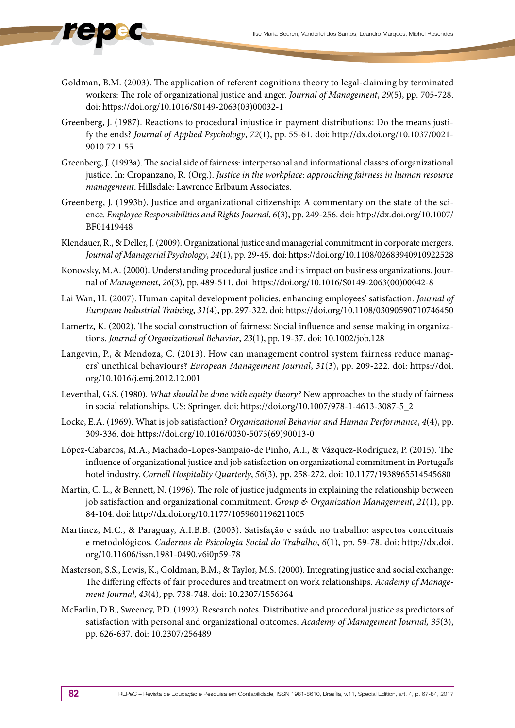- Goldman, B.M. (2003). The application of referent cognitions theory to legal-claiming by terminated workers: The role of organizational justice and anger. *Journal of Management*, *29*(5), pp. 705-728. doi: [https://doi.org/10.1016/S0149-2063\(03\)00032-1](https://doi.org/10.1016/S0149-2063(03)00032-1)
- Greenberg, J. (1987). Reactions to procedural injustice in payment distributions: Do the means justify the ends? *Journal of Applied Psychology*, *72*(1), pp. 55-61. doi: http://dx.doi.org/10.1037/0021- 9010.72.1.55
- Greenberg, J. (1993a). The social side of fairness: interpersonal and informational classes of organizational justice. In: Cropanzano, R. (Org.). *Justice in the workplace: approaching fairness in human resource management*. Hillsdale: Lawrence Erlbaum Associates.
- Greenberg, J. (1993b). Justice and organizational citizenship: A commentary on the state of the science. *Employee Responsibilities and Rights Journal*, *6*(3), pp. 249-256. doi: http://dx.doi.org/10.1007/ BF01419448
- Klendauer, R., & Deller, J. (2009). Organizational justice and managerial commitment in corporate mergers. *Journal of Managerial Psychology*, *24*(1), pp. 29-45. doi: https://doi.org/10.1108/02683940910922528
- Konovsky, M.A. (2000). Understanding procedural justice and its impact on business organizations. Journal of *Management*, *26*(3), pp. 489-511. doi: [https://doi.org/10.1016/S0149-2063\(00\)00042-8](https://doi.org/10.1016/S0149-2063(00)00042-8)
- Lai Wan, H. (2007). Human capital development policies: enhancing employees' satisfaction. *Journal of European Industrial Training*, *31*(4), pp. 297-322. doi: <https://doi.org/10.1108/03090590710746450>
- Lamertz, K. (2002). The social construction of fairness: Social influence and sense making in organizations. *Journal of Organizational Behavior*, *23*(1), pp. 19-37. doi: 10.1002/job.128
- Langevin, P., & Mendoza, C. (2013). How can management control system fairness reduce managers' unethical behaviours? *European Management Journal*, *31*(3), pp. 209-222. doi: [https://doi.](https://doi.org/10.1016/j.emj.2012.12.001) [org/10.1016/j.emj.2012.12.001](https://doi.org/10.1016/j.emj.2012.12.001)
- Leventhal, G.S. (1980). *What should be done with equity theory?* New approaches to the study of fairness in social relationships. US: Springer. doi: https://doi.org/10.1007/978-1-4613-3087-5\_2
- Locke, E.A. (1969). What is job satisfaction? *Organizational Behavior and Human Performance*, *4*(4), pp. 309-336. doi: [https://doi.org/10.1016/0030-5073\(69\)90013-0](https://doi.org/10.1016/0030-5073(69)90013-0)
- López-Cabarcos, M.A., Machado-Lopes-Sampaio-de Pinho, A.I., & Vázquez-Rodríguez, P. (2015). The influence of organizational justice and job satisfaction on organizational commitment in Portugal's hotel industry. *Cornell Hospitality Quarterly*, *56*(3), pp. 258-272. doi: 10.1177/1938965514545680
- Martin, C. L., & Bennett, N. (1996). The role of justice judgments in explaining the relationship between job satisfaction and organizational commitment. *Group & Organization Management*, *21*(1), pp. 84-104. doi: [http://dx.doi.org/10.1177/1059601196211005](http://psycnet.apa.org/doi/10.1177/1059601196211005)
- Martinez, M.C., & Paraguay, A.I.B.B. (2003). Satisfação e saúde no trabalho: aspectos conceituais e metodológicos. *Cadernos de Psicologia Social do Trabalho*, *6*(1), pp. 59-78. doi: [http://dx.doi.](http://dx.doi.org/10.11606/issn.1981-0490.v6i0p59-78) [org/10.11606/issn.1981-0490.v6i0p59-78](http://dx.doi.org/10.11606/issn.1981-0490.v6i0p59-78)
- Masterson, S.S., Lewis, K., Goldman, B.M., & Taylor, M.S. (2000). Integrating justice and social exchange: The differing effects of fair procedures and treatment on work relationships. *Academy of Management Journal*, *43*(4), pp. 738-748. doi: 10.2307/1556364
- McFarlin, D.B., Sweeney, P.D. (1992). Research notes. Distributive and procedural justice as predictors of satisfaction with personal and organizational outcomes. *Academy of Management Journal, 35*(3), pp. 626-637. doi: 10.2307/256489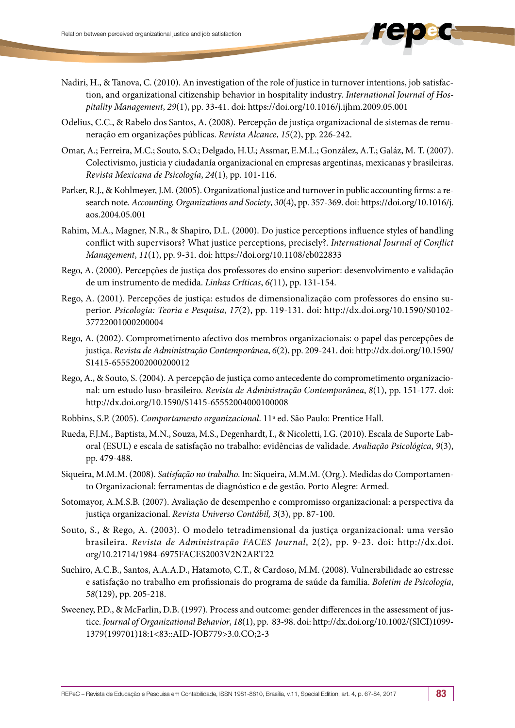- Nadiri, H., & Tanova, C. (2010). An investigation of the role of justice in turnover intentions, job satisfaction, and organizational citizenship behavior in hospitality industry. *International Journal of Hospitality Management*, *29*(1), pp. 33-41. doi: <https://doi.org/10.1016/j.ijhm.2009.05.001>
- Odelius, C.C., & Rabelo dos Santos, A. (2008). Percepção de justiça organizacional de sistemas de remuneração em organizações públicas. *Revista Alcance*, *15*(2), pp. 226-242.
- Omar, A.; Ferreira, M.C.; Souto, S.O.; Delgado, H.U.; Assmar, E.M.L.; González, A.T.; Galáz, M. T. (2007). Colectivismo, justicia y ciudadanía organizacional en empresas argentinas, mexicanas y brasileiras. *Revista Mexicana de Psicología*, *24*(1), pp. 101-116.
- Parker, R.J., & Kohlmeyer, J.M. (2005). Organizational justice and turnover in public accounting firms: a research note. *Accounting, Organizations and Society*, *30*(4), pp. 357-369. doi: [https://doi.org/10.1016/j.](https://doi.org/10.1016/j.aos.2004.05.001) [aos.2004.05.001](https://doi.org/10.1016/j.aos.2004.05.001)
- Rahim, M.A., Magner, N.R., & Shapiro, D.L. (2000). Do justice perceptions influence styles of handling conflict with supervisors? What justice perceptions, precisely?. *International Journal of Conflict Management*, *11*(1), pp. 9-31. doi: https://doi.org/10.1108/eb022833
- Rego, A. (2000). Percepções de justiça dos professores do ensino superior: desenvolvimento e validação de um instrumento de medida. *Linhas Críticas*, *6(*11), pp. 131-154.
- Rego, A. (2001). Percepções de justiça: estudos de dimensionalização com professores do ensino superior. *Psicologia: Teoria e Pesquisa*, *17*(2), pp. 119-131. doi: http://dx.doi.org/10.1590/S0102- 37722001000200004
- Rego, A. (2002). Comprometimento afectivo dos membros organizacionais: o papel das percepções de justiça. *Revista de Administração Contemporânea*, *6*(2), pp. 209-241. doi: http://dx.doi.org/10.1590/ S1415-65552002000200012
- Rego, A., & Souto, S. (2004). A percepção de justiça como antecedente do comprometimento organizacional: um estudo luso-brasileiro. *Revista de Administração Contemporânea*, *8*(1), pp. 151-177. doi: http://dx.doi.org/10.1590/S1415-65552004000100008
- Robbins, S.P. (2005). *Comportamento organizacional*. 11ª ed. São Paulo: Prentice Hall.
- Rueda, F.J.M., Baptista, M.N., Souza, M.S., Degenhardt, I., & Nicoletti, I.G. (2010). Escala de Suporte Laboral (ESUL) e escala de satisfação no trabalho: evidências de validade. *Avaliação Psicológica*, *9*(3), pp. 479-488.
- Siqueira, M.M.M. (2008). *Satisfação no trabalho*. In: Siqueira, M.M.M. (Org.). Medidas do Comportamento Organizacional: ferramentas de diagnóstico e de gestão. Porto Alegre: Armed.
- Sotomayor, A.M.S.B. (2007). Avaliação de desempenho e compromisso organizacional: a perspectiva da justiça organizacional. *Revista Universo Contábil, 3*(3), pp. 87-100.
- Souto, S., & Rego, A. (2003). O modelo tetradimensional da justiça organizacional: uma versão brasileira. *Revista de Administração FACES Journal*, 2(2), pp. 9-23. doi: [http://dx.doi.](http://dx.doi.org/10.21714/1984-6975FACES2003V2N2ART22) [org/10.21714/1984-6975FACES2003V2N2ART22](http://dx.doi.org/10.21714/1984-6975FACES2003V2N2ART22)
- Suehiro, A.C.B., Santos, A.A.A.D., Hatamoto, C.T., & Cardoso, M.M. (2008). Vulnerabilidade ao estresse e satisfação no trabalho em profissionais do programa de saúde da família. *Boletim de Psicologia*, *58*(129), pp. 205-218.
- Sweeney, P.D., & McFarlin, D.B. (1997). Process and outcome: gender differences in the assessment of justice. *Journal of Organizational Behavior*, *18*(1), pp. 83-98. doi: [http://dx.doi.org/10.1002/\(SICI\)1099-](http://psycnet.apa.org/doi/10.1002/(SICI)1099-1379(199701)18:1%3C83::AID-JOB779%3E3.0.CO;2-3) [1379\(199701\)18:1<83::AID-JOB779>3.0.CO;2-3](http://psycnet.apa.org/doi/10.1002/(SICI)1099-1379(199701)18:1%3C83::AID-JOB779%3E3.0.CO;2-3)